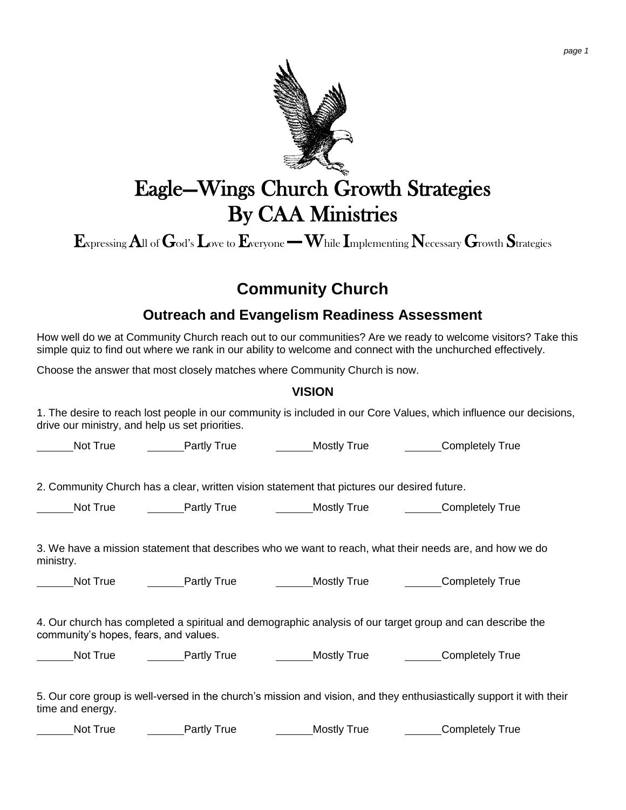

# Eagle—Wings Church Growth Strategies By CAA Ministries

 $\mathbf{E}_{\text{xpressing}}$  All of  $\mathbf{G}_{\text{od's}}$   $\mathbf{L}_{\text{ove to}}$  Everyone — While Implementing Necessary  $\mathbf{G}_{\text{rowth}}$  Strategies

# **Community Church**

# **Outreach and Evangelism Readiness Assessment**

How well do we at Community Church reach out to our communities? Are we ready to welcome visitors? Take this simple quiz to find out where we rank in our ability to welcome and connect with the unchurched effectively.

Choose the answer that most closely matches where Community Church is now.

#### **VISION**

1. The desire to reach lost people in our community is included in our Core Values, which influence our decisions, drive our ministry, and help us set priorities.

Not True **Partly True** Mostly True Mostly True Completely True

2. Community Church has a clear, written vision statement that pictures our desired future.

Not True **Partly True Completely True** Mostly True Completely True

3. We have a mission statement that describes who we want to reach, what their needs are, and how we do ministry.

Not True Partly True Mostly True Completely True

4. Our church has completed a spiritual and demographic analysis of our target group and can describe the community's hopes, fears, and values.

Not True **Completely True Partly True** Mostly True **Completely True** 

5. Our core group is well-versed in the church's mission and vision, and they enthusiastically support it with their time and energy.

Not True **Completely True Partly True** Mostly True Completely True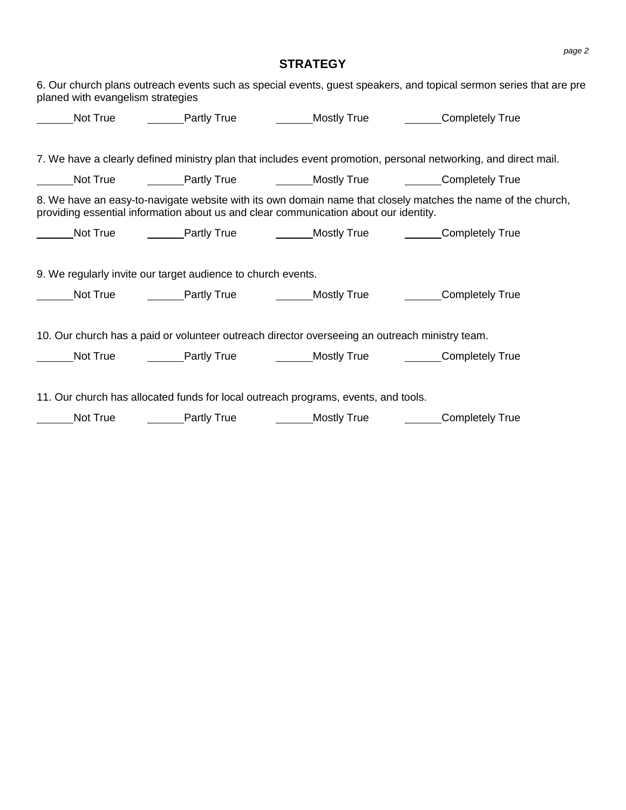## **STRATEGY**

| planed with evangelism strategies |                                                              |                                                                                                                                                                                                                                                                                                                          | 6. Our church plans outreach events such as special events, guest speakers, and topical sermon series that are pre |
|-----------------------------------|--------------------------------------------------------------|--------------------------------------------------------------------------------------------------------------------------------------------------------------------------------------------------------------------------------------------------------------------------------------------------------------------------|--------------------------------------------------------------------------------------------------------------------|
|                                   |                                                              |                                                                                                                                                                                                                                                                                                                          | Not True <b>Example 1</b> Partly True <b>Completely True Completely True</b>                                       |
|                                   |                                                              |                                                                                                                                                                                                                                                                                                                          |                                                                                                                    |
|                                   |                                                              |                                                                                                                                                                                                                                                                                                                          | 7. We have a clearly defined ministry plan that includes event promotion, personal networking, and direct mail.    |
| Not True                          |                                                              |                                                                                                                                                                                                                                                                                                                          | ________Partly True _____________Mostly True ____________Completely True                                           |
|                                   |                                                              | providing essential information about us and clear communication about our identity.                                                                                                                                                                                                                                     | 8. We have an easy-to-navigate website with its own domain name that closely matches the name of the church,       |
|                                   |                                                              |                                                                                                                                                                                                                                                                                                                          | _Not True    _______Partly True    _______Mostly True    _______Completely True                                    |
|                                   | 9. We regularly invite our target audience to church events. |                                                                                                                                                                                                                                                                                                                          |                                                                                                                    |
|                                   |                                                              |                                                                                                                                                                                                                                                                                                                          | Completely True                                                                                                    |
|                                   |                                                              | 10. Our church has a paid or volunteer outreach director overseeing an outreach ministry team.                                                                                                                                                                                                                           | Not True <b>Example 1</b> Partly True <b>Completely True Completely True</b>                                       |
| Not True                          |                                                              | 11. Our church has allocated funds for local outreach programs, events, and tools.<br><b>Example 2 Food Partly True Contract Contract Contract Contract Contract Contract Contract Contract Contract Contract Contract Contract Contract Contract Contract Contract Contract Contract Contract Contract Contract Con</b> | Completely True                                                                                                    |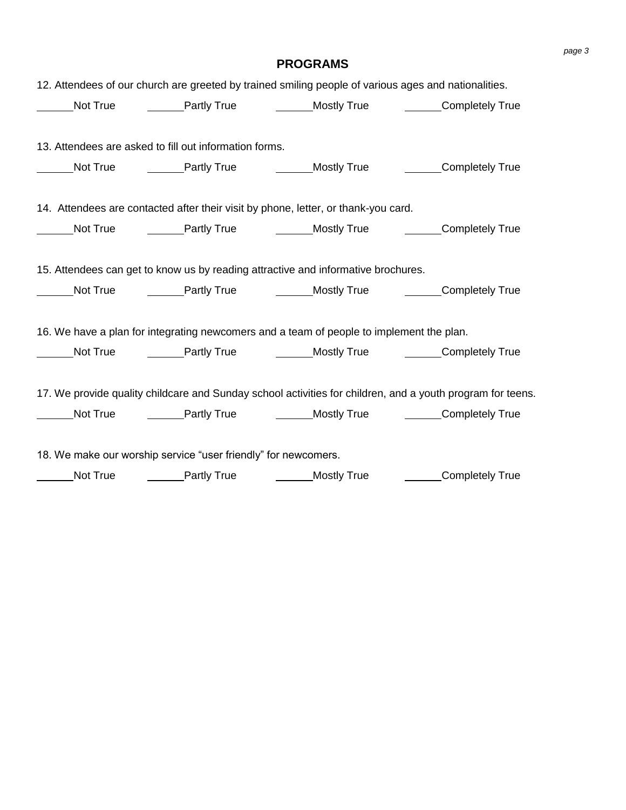| 12. Attendees of our church are greeted by trained smiling people of various ages and nationalities. |             |                                                                                                            |
|------------------------------------------------------------------------------------------------------|-------------|------------------------------------------------------------------------------------------------------------|
|                                                                                                      |             | Mostly True Mostly True Completely True Completely True                                                    |
| 13. Attendees are asked to fill out information forms.                                               |             |                                                                                                            |
|                                                                                                      |             | Mot True True Partly True True Mostly True Completely True                                                 |
| 14. Attendees are contacted after their visit by phone, letter, or thank-you card.                   |             |                                                                                                            |
|                                                                                                      |             | Mot True True Fartly True True Mostly True Completely True                                                 |
| 15. Attendees can get to know us by reading attractive and informative brochures.                    |             |                                                                                                            |
|                                                                                                      |             | ______Not True _________Partly True ___________Mostly True _________Completely True                        |
| 16. We have a plan for integrating newcomers and a team of people to implement the plan.             |             |                                                                                                            |
|                                                                                                      |             | Not True ________Partly True ____________Mostly True __________Completely True                             |
|                                                                                                      |             | 17. We provide quality childcare and Sunday school activities for children, and a youth program for teens. |
|                                                                                                      |             | Not True _________Partly True ________________Mostly True ____________Completely True                      |
| 18. We make our worship service "user friendly" for newcomers.                                       |             |                                                                                                            |
| Not True <b>Configure 1</b> Partly True                                                              | Mostly True | <b>Completely True</b>                                                                                     |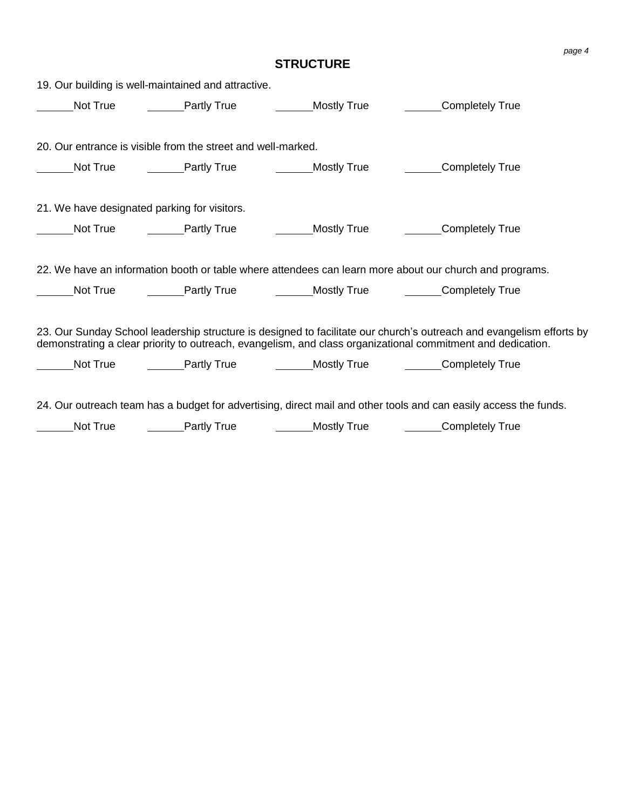## **STRUCTURE**

|          | 19. Our building is well-maintained and attractive.              |                                                                                          |                                                                                                                                                                                                                                     |
|----------|------------------------------------------------------------------|------------------------------------------------------------------------------------------|-------------------------------------------------------------------------------------------------------------------------------------------------------------------------------------------------------------------------------------|
|          | Not True <b>Deta</b> Partly True                                 | Mostly True                                                                              | Completely True                                                                                                                                                                                                                     |
|          | 20. Our entrance is visible from the street and well-marked.     |                                                                                          |                                                                                                                                                                                                                                     |
|          | Not True <b>Not True</b> Partly True <b>Not True</b> Mostly True |                                                                                          | <b>Completely True</b>                                                                                                                                                                                                              |
|          | 21. We have designated parking for visitors.                     |                                                                                          |                                                                                                                                                                                                                                     |
|          |                                                                  | Not True <b>Deal</b> Partly True <b>Contains Container Contains And True</b> Mostly True | Completely True                                                                                                                                                                                                                     |
|          |                                                                  |                                                                                          | 22. We have an information booth or table where attendees can learn more about our church and programs.                                                                                                                             |
| Not True |                                                                  |                                                                                          | <b>Example 1</b> Partly True <b>Mostly True Completely True</b>                                                                                                                                                                     |
|          |                                                                  |                                                                                          | 23. Our Sunday School leadership structure is designed to facilitate our church's outreach and evangelism efforts by<br>demonstrating a clear priority to outreach, evangelism, and class organizational commitment and dedication. |
| Not True |                                                                  |                                                                                          | <b>EXAMPLE Partly True</b> True Mostly True <b>Completely True</b>                                                                                                                                                                  |
|          |                                                                  |                                                                                          | 24. Our outreach team has a budget for advertising, direct mail and other tools and can easily access the funds.                                                                                                                    |
| Not True | <b>Example 2</b> Partly True <b>CONFING 2</b> Mostly True        |                                                                                          | Completely True                                                                                                                                                                                                                     |